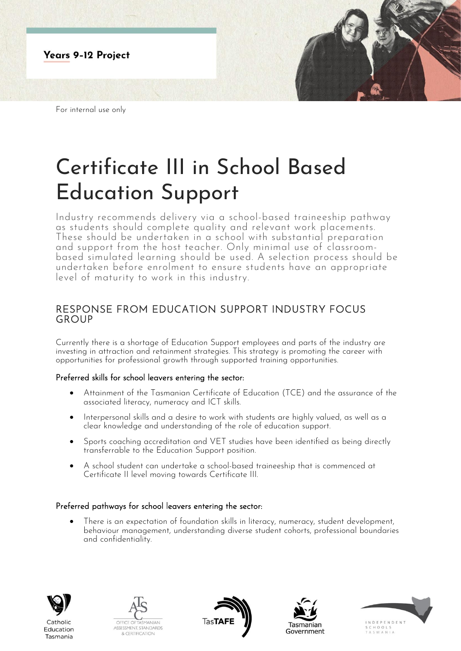

For internal use only

# Certificate III in School Based Education Support

Industry recommends delivery via a school-based traineeship pathway as students should complete quality and relevant work placements. These should be undertaken in a school with substantial preparation and support from the host teacher. Only minimal use of classroombased simulated learning should be used. A selection process should be undertaken before enrolment to ensure students have an appropriate level of maturity to work in this industry.

## RESPONSE FROM EDUCATION SUPPORT INDUSTRY FOCUS GROUP

Currently there is a shortage of Education Support employees and parts of the industry are investing in attraction and retainment strategies. This strategy is promoting the career with opportunities for professional growth through supported training opportunities.

#### Preferred skills for school leavers entering the sector:

- Attainment of the Tasmanian Certificate of Education (TCE) and the assurance of the associated literacy, numeracy and ICT skills.
- Interpersonal skills and a desire to work with students are highly valued, as well as a clear knowledge and understanding of the role of education support.
- Sports coaching accreditation and VET studies have been identified as being directly transferrable to the Education Support position.
- A school student can undertake a school-based traineeship that is commenced at Certificate II level moving towards Certificate III.

### Preferred pathways for school leavers entering the sector:

• There is an expectation of foundation skills in literacy, numeracy, student development, behaviour management, understanding diverse student cohorts, professional boundaries and confidentiality.



Education

Tasmania